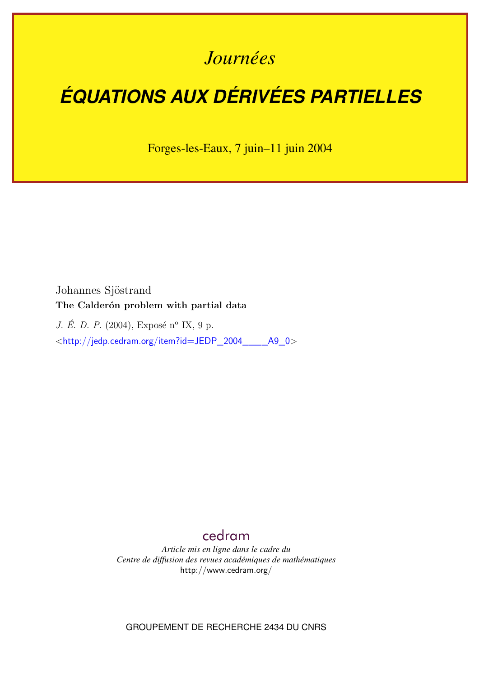## *Journées*

# *ÉQUATIONS AUX DÉRIVÉES PARTIELLES*

Forges-les-Eaux, 7 juin–11 juin 2004

Johannes Sjöstrand **The Calderón problem with partial data**

*J. É. D. P.* (2004), Exposé n<sup>o</sup> IX, 9 p.

<[http://jedp.cedram.org/item?id=JEDP\\_2004\\_\\_\\_\\_A9\\_0](http://jedp.cedram.org/item?id=JEDP_2004____A9_0)>

### [cedram](http://www.cedram.org/)

*Article mis en ligne dans le cadre du Centre de diffusion des revues académiques de mathématiques* <http://www.cedram.org/>

GROUPEMENT DE RECHERCHE 2434 DU CNRS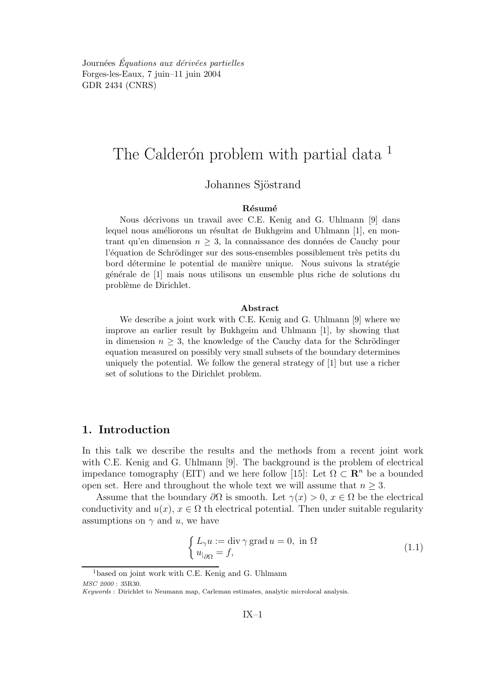Journées Équations aux dérivées partielles Forges-les-Eaux, 7 juin–11 juin 2004 GDR 2434 (CNRS)

## The Calderón problem with partial data <sup>1</sup>

#### Johannes Sjöstrand

#### Résumé

Nous décrivons un travail avec C.E. Kenig and G. Uhlmann [9] dans lequel nous améliorons un résultat de Bukhgeim and Uhlmann  $[1]$ , en montrant qu'en dimension  $n \geq 3$ , la connaissance des données de Cauchy pour l'équation de Schrödinger sur des sous-ensembles possiblement très petits du bord détermine le potential de manière unique. Nous suivons la stratégie g´en´erale de [1] mais nous utilisons un ensemble plus riche de solutions du problème de Dirichlet.

#### Abstract

We describe a joint work with C.E. Kenig and G. Uhlmann [9] where we improve an earlier result by Bukhgeim and Uhlmann [1], by showing that in dimension  $n \geq 3$ , the knowledge of the Cauchy data for the Schrödinger equation measured on possibly very small subsets of the boundary determines uniquely the potential. We follow the general strategy of [1] but use a richer set of solutions to the Dirichlet problem.

#### 1. Introduction

In this talk we describe the results and the methods from a recent joint work with C.E. Kenig and G. Uhlmann [9]. The background is the problem of electrical impedance tomography (EIT) and we here follow [15]: Let  $\Omega \subset \mathbb{R}^n$  be a bounded open set. Here and throughout the whole text we will assume that  $n \geq 3$ .

Assume that the boundary  $\partial\Omega$  is smooth. Let  $\gamma(x) > 0$ ,  $x \in \Omega$  be the electrical conductivity and  $u(x)$ ,  $x \in \Omega$  th electrical potential. Then under suitable regularity assumptions on  $\gamma$  and u, we have

$$
\begin{cases}\nL_{\gamma}u := \text{div}\,\gamma\,\text{grad}\,u = 0, \text{ in } \Omega \\
u_{\mid_{\partial\Omega}} = f,\n\end{cases}
$$
\n(1.1)

<sup>&</sup>lt;sup>1</sup>based on joint work with C.E. Kenig and G. Uhlmann

MSC 2000 : 35R30.

Keywords : Dirichlet to Neumann map, Carleman estimates, analytic microlocal analysis.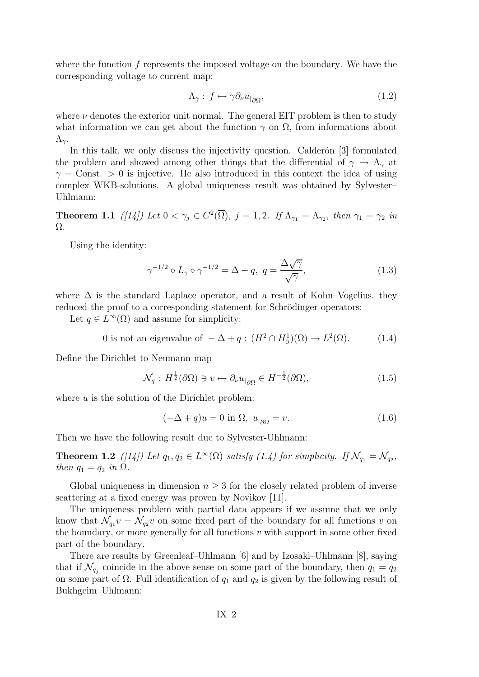where the function f represents the imposed voltage on the boundary. We have the corresponding voltage to current map:

$$
\Lambda_{\gamma}: f \mapsto \gamma \partial_{\nu} u_{|\partial \Omega}, \tag{1.2}
$$

where  $\nu$  denotes the exterior unit normal. The general EIT problem is then to study what information we can get about the function  $\gamma$  on  $\Omega$ , from informations about  $Λ_{\gamma}$ .

In this talk, we only discuss the injectivity question. Calderon  $[3]$  formulated the problem and showed among other things that the differential of  $\gamma \mapsto \Lambda_{\gamma}$  at  $\gamma =$ Const. > 0 is injective. He also introduced in this context the idea of using complex WKB-solutions. A global uniqueness result was obtained by Sylvester– Uhlmann:

**Theorem 1.1** ([14]) Let  $0 < \gamma_j \in C^2(\overline{\Omega})$ ,  $j = 1, 2$ . If  $\Lambda_{\gamma_1} = \Lambda_{\gamma_2}$ , then  $\gamma_1 = \gamma_2$  in Ω.

Using the identity:

$$
\gamma^{-1/2} \circ L_{\gamma} \circ \gamma^{-1/2} = \Delta - q, \ q = \frac{\Delta \sqrt{\gamma}}{\sqrt{\gamma}}, \tag{1.3}
$$

where  $\Delta$  is the standard Laplace operator, and a result of Kohn–Vogelius, they reduced the proof to a corresponding statement for Schrödinger operators:

Let  $q \in L^{\infty}(\Omega)$  and assume for simplicity:

0 is not an eigenvalue of  $-\Delta + q$ :  $(H^2 \cap H_0^1)(\Omega) \to L^2(\Omega)$ . (1.4)

Define the Dirichlet to Neumann map

$$
\mathcal{N}_q: H^{\frac{1}{2}}(\partial \Omega) \ni v \mapsto \partial_\nu u_{|\partial \Omega} \in H^{-\frac{1}{2}}(\partial \Omega), \tag{1.5}
$$

where  $u$  is the solution of the Dirichlet problem:

$$
(-\Delta + q)u = 0 \text{ in } \Omega, \ u_{|\partial\Omega} = v. \tag{1.6}
$$

Then we have the following result due to Sylvester-Uhlmann:

**Theorem 1.2** ([14]) Let  $q_1, q_2 \in L^{\infty}(\Omega)$  satisfy (1.4) for simplicity. If  $\mathcal{N}_{q_1} = \mathcal{N}_{q_2}$ , then  $q_1 = q_2$  in  $\Omega$ .

Global uniqueness in dimension  $n \geq 3$  for the closely related problem of inverse scattering at a fixed energy was proven by Novikov [11].

The uniqueness problem with partial data appears if we assume that we only know that  $\mathcal{N}_{q_1}v = \mathcal{N}_{q_2}v$  on some fixed part of the boundary for all functions v on the boundary, or more generally for all functions  $v$  with support in some other fixed part of the boundary.

There are results by Greenleaf–Uhlmann [6] and by Izosaki–Uhlmann [8], saying that if  $\mathcal{N}_{q_j}$  coincide in the above sense on some part of the boundary, then  $q_1 = q_2$ on some part of  $\Omega$ . Full identification of  $q_1$  and  $q_2$  is given by the following result of Bukhgeim–Uhlmann: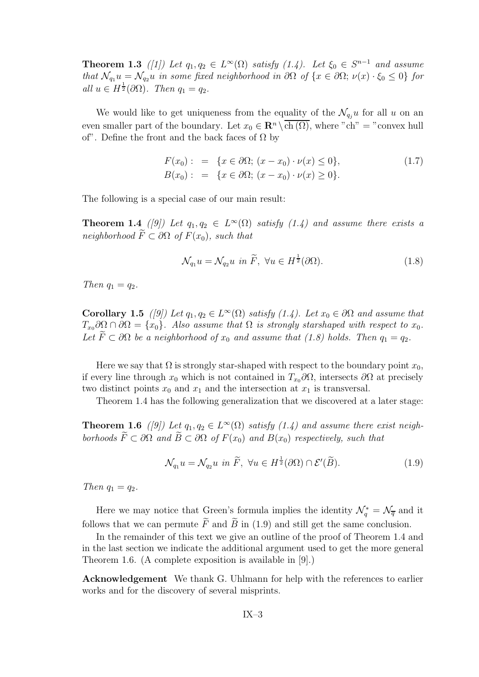**Theorem 1.3** ([1]) Let  $q_1, q_2 \in L^{\infty}(\Omega)$  satisfy (1.4). Let  $\xi_0 \in S^{n-1}$  and assume that  $\mathcal{N}_{q_1}u = \mathcal{N}_{q_2}u$  in some fixed neighborhood in  $\partial\Omega$  of  $\{x \in \partial\Omega; \nu(x) \cdot \xi_0 \leq 0\}$  for all  $u \in H^{\frac{1}{2}}(\partial \Omega)$ . Then  $q_1 = q_2$ .

We would like to get uniqueness from the equality of the  $\mathcal{N}_{q_i}u$  for all u on an even smaller part of the boundary. Let  $x_0 \in \mathbb{R}^n \setminus \overline{\text{ch}(\Omega)}$ , where "ch" = "convex hull of". Define the front and the back faces of  $\Omega$  by

$$
F(x_0): = \{x \in \partial\Omega; (x - x_0) \cdot \nu(x) \le 0\},
$$
  
\n
$$
B(x_0): = \{x \in \partial\Omega; (x - x_0) \cdot \nu(x) \ge 0\}.
$$
\n(1.7)

The following is a special case of our main result:

**Theorem 1.4** ([9]) Let  $q_1, q_2 \in L^{\infty}(\Omega)$  satisfy (1.4) and assume there exists a neighborhood  $\widetilde{F} \subset \partial \Omega$  of  $F(x_0)$ , such that

$$
\mathcal{N}_{q_1}u = \mathcal{N}_{q_2}u \ \ in \ \widetilde{F}, \ \forall u \in H^{\frac{1}{2}}(\partial \Omega). \tag{1.8}
$$

Then  $q_1 = q_2$ .

**Corollary 1.5** ([9]) Let  $q_1, q_2 \in L^{\infty}(\Omega)$  satisfy (1.4). Let  $x_0 \in \partial \Omega$  and assume that  $T_{x_0} \partial \Omega \cap \partial \Omega = \{x_0\}.$  Also assume that  $\Omega$  is strongly starshaped with respect to  $x_0$ . Let  $F \subset \partial \Omega$  be a neighborhood of  $x_0$  and assume that (1.8) holds. Then  $q_1 = q_2$ .

Here we say that  $\Omega$  is strongly star-shaped with respect to the boundary point  $x_0$ , if every line through  $x_0$  which is not contained in  $T_{x_0}\partial\Omega$ , intersects  $\partial\Omega$  at precisely two distinct points  $x_0$  and  $x_1$  and the intersection at  $x_1$  is transversal.

Theorem 1.4 has the following generalization that we discovered at a later stage:

**Theorem 1.6** ([9]) Let  $q_1, q_2 \in L^{\infty}(\Omega)$  satisfy (1.4) and assume there exist neighborhoods  $\widetilde{F} \subset \partial \Omega$  and  $\widetilde{B} \subset \partial \Omega$  of  $F(x_0)$  and  $B(x_0)$  respectively, such that

$$
\mathcal{N}_{q_1}u = \mathcal{N}_{q_2}u \text{ in } \widetilde{F}, \ \forall u \in H^{\frac{1}{2}}(\partial \Omega) \cap \mathcal{E}'(\widetilde{B}).\tag{1.9}
$$

Then  $q_1 = q_2$ .

Here we may notice that Green's formula implies the identity  $\mathcal{N}_q^* = \mathcal{N}_{\overline{q}}$  and it follows that we can permute  $\tilde{F}$  and  $\tilde{B}$  in (1.9) and still get the same conclusion.

In the remainder of this text we give an outline of the proof of Theorem 1.4 and in the last section we indicate the additional argument used to get the more general Theorem 1.6. (A complete exposition is available in [9].)

Acknowledgement We thank G. Uhlmann for help with the references to earlier works and for the discovery of several misprints.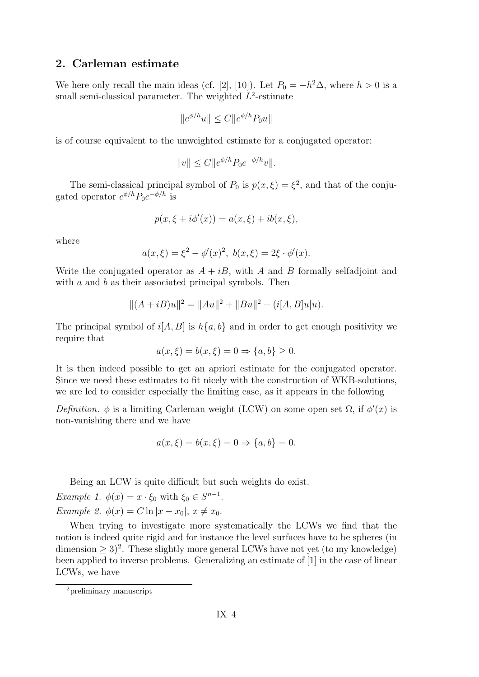#### 2. Carleman estimate

We here only recall the main ideas (cf. [2], [10]). Let  $P_0 = -h^2 \Delta$ , where  $h > 0$  is a small semi-classical parameter. The weighted  $L^2$ -estimate

$$
||e^{\phi/h}u|| \le C||e^{\phi/h}P_0u||
$$

is of course equivalent to the unweighted estimate for a conjugated operator:

$$
||v|| \le C ||e^{\phi/h} P_0 e^{-\phi/h} v||.
$$

The semi-classical principal symbol of  $P_0$  is  $p(x,\xi) = \xi^2$ , and that of the conjugated operator  $e^{\phi/h}P_0e^{-\phi/h}$  is

$$
p(x, \xi + i\phi'(x)) = a(x, \xi) + ib(x, \xi),
$$

where

$$
a(x,\xi) = \xi^2 - \phi'(x)^2, b(x,\xi) = 2\xi \cdot \phi'(x).
$$

Write the conjugated operator as  $A + iB$ , with A and B formally selfadjoint and with  $a$  and  $b$  as their associated principal symbols. Then

$$
||(A + iB)u||2 = ||Au||2 + ||Bu||2 + (i[A, B]u|u).
$$

The principal symbol of  $i[A, B]$  is  $h\{a, b\}$  and in order to get enough positivity we require that

$$
a(x,\xi) = b(x,\xi) = 0 \Rightarrow \{a,b\} \ge 0.
$$

It is then indeed possible to get an apriori estimate for the conjugated operator. Since we need these estimates to fit nicely with the construction of WKB-solutions, we are led to consider especially the limiting case, as it appears in the following

Definition.  $\phi$  is a limiting Carleman weight (LCW) on some open set  $\Omega$ , if  $\phi'(x)$  is non-vanishing there and we have

$$
a(x, \xi) = b(x, \xi) = 0 \Rightarrow \{a, b\} = 0.
$$

Being an LCW is quite difficult but such weights do exist.

Example 1.  $\phi(x) = x \cdot \xi_0$  with  $\xi_0 \in S^{n-1}$ . Example 2.  $\phi(x) = C \ln|x - x_0|, x \neq x_0$ .

When trying to investigate more systematically the LCWs we find that the notion is indeed quite rigid and for instance the level surfaces have to be spheres (in dimension  $\geq 3$ <sup>2</sup>. These slightly more general LCWs have not yet (to my knowledge) been applied to inverse problems. Generalizing an estimate of [1] in the case of linear LCWs, we have

<sup>2</sup>preliminary manuscript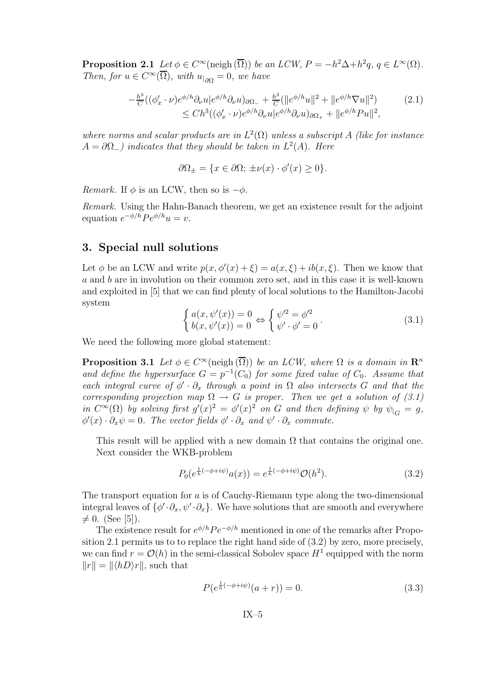**Proposition 2.1** Let  $\phi \in C^{\infty}(\text{neigh }(\overline{\Omega}))$  be an LCW,  $P = -h^2\Delta + h^2q$ ,  $q \in L^{\infty}(\Omega)$ . Then, for  $u \in C^{\infty}(\Omega)$ , with  $u_{|\partial\Omega} = 0$ , we have

$$
-\frac{h^3}{C}((\phi_x' \cdot \nu)e^{\phi/h}\partial_\nu u|e^{\phi/h}\partial_\nu u)_{\partial\Omega_-} + \frac{h^2}{C}(\|e^{\phi/h}u\|^2 + \|e^{\phi/h}\nabla u\|^2) \tag{2.1}
$$
  

$$
\leq Ch^3((\phi_x' \cdot \nu)e^{\phi/h}\partial_\nu u|e^{\phi/h}\partial_\nu u)_{\partial\Omega_+} + \|e^{\phi/h}Pu\|^2,
$$

where norms and scalar products are in  $L^2(\Omega)$  unless a subscript A (like for instance  $A = \partial \Omega_{-}$ ) indicates that they should be taken in  $L^2(A)$ . Here

$$
\partial\Omega_{\pm} = \{x \in \partial\Omega; \ \pm\nu(x) \cdot \phi'(x) \ge 0\}.
$$

Remark. If  $\phi$  is an LCW, then so is  $-\phi$ .

Remark. Using the Hahn-Banach theorem, we get an existence result for the adjoint equation  $e^{-\phi/h}Pe^{\phi/h}u = v$ .

#### 3. Special null solutions

Let  $\phi$  be an LCW and write  $p(x, \phi'(x) + \xi) = a(x, \xi) + ib(x, \xi)$ . Then we know that a and b are in involution on their common zero set, and in this case it is well-known and exploited in [5] that we can find plenty of local solutions to the Hamilton-Jacobi system

$$
\begin{cases}\na(x,\psi'(x)) = 0 \\
b(x,\psi'(x)) = 0\n\end{cases} \Leftrightarrow\n\begin{cases}\n\psi'^2 = \phi'^2 \\
\psi' \cdot \phi' = 0\n\end{cases}.
$$
\n(3.1)

We need the following more global statement:

**Proposition 3.1** Let  $\phi \in C^{\infty}(\text{neigh}(\overline{\Omega}))$  be an LCW, where  $\Omega$  is a domain in  $\mathbb{R}^n$ and define the hypersurface  $G = p^{-1}(C_0)$  for some fixed value of  $C_0$ . Assume that each integral curve of  $\phi' \cdot \partial_x$  through a point in  $\Omega$  also intersects G and that the corresponding projection map  $\Omega \to G$  is proper. Then we get a solution of (3.1) in  $C^{\infty}(\Omega)$  by solving first  $g'(x)^2 = \phi'(x)^2$  on G and then defining  $\psi$  by  $\psi|_G = g$ ,  $\phi'(x) \cdot \partial_x \psi = 0$ . The vector fields  $\phi' \cdot \partial_x$  and  $\psi' \cdot \partial_x$  commute.

This result will be applied with a new domain  $\Omega$  that contains the original one. Next consider the WKB-problem

$$
P_0(e^{\frac{1}{h}(-\phi + i\psi)}a(x)) = e^{\frac{1}{h}(-\phi + i\psi)}\mathcal{O}(h^2).
$$
 (3.2)

The transport equation for a is of Cauchy-Riemann type along the two-dimensional integral leaves of  $\{\phi' \cdot \partial_x, \psi' \cdot \partial_x\}$ . We have solutions that are smooth and everywhere  $\neq 0.$  (See [5]).

The existence result for  $e^{\phi/h}Pe^{-\phi/h}$  mentioned in one of the remarks after Proposition 2.1 permits us to to replace the right hand side of (3.2) by zero, more precisely, we can find  $r = \mathcal{O}(h)$  in the semi-classical Sobolev space  $H^1$  equipped with the norm  $||r|| = ||\langle hD\rangle r||$ , such that

$$
P(e^{\frac{1}{h}(-\phi + i\psi)}(a+r)) = 0.
$$
\n(3.3)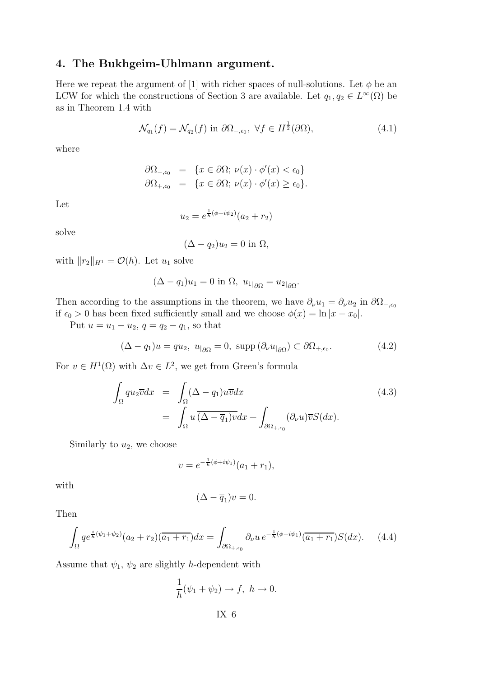#### 4. The Bukhgeim-Uhlmann argument.

Here we repeat the argument of [1] with richer spaces of null-solutions. Let  $\phi$  be an LCW for which the constructions of Section 3 are available. Let  $q_1, q_2 \in L^{\infty}(\Omega)$  be as in Theorem 1.4 with

$$
\mathcal{N}_{q_1}(f) = \mathcal{N}_{q_2}(f) \text{ in } \partial \Omega_{-,\epsilon_0}, \ \forall f \in H^{\frac{1}{2}}(\partial \Omega), \tag{4.1}
$$

where

$$
\partial \Omega_{-,\epsilon_0} = \{ x \in \partial \Omega; \nu(x) \cdot \phi'(x) < \epsilon_0 \}
$$
\n
$$
\partial \Omega_{+,\epsilon_0} = \{ x \in \partial \Omega; \nu(x) \cdot \phi'(x) \ge \epsilon_0 \}.
$$

Let

$$
u_2 = e^{\frac{1}{h}(\phi + i\psi_2)}(a_2 + r_2)
$$

solve

$$
(\Delta - q_2)u_2 = 0
$$
in  $\Omega$ ,

with  $||r_2||_{H^1} = \mathcal{O}(h)$ . Let  $u_1$  solve

$$
(\Delta - q_1)u_1 = 0 \text{ in } \Omega, \ u_{1|\partial\Omega} = u_{2|\partial\Omega}.
$$

Then according to the assumptions in the theorem, we have  $\partial_{\nu}u_1 = \partial_{\nu}u_2$  in  $\partial_{\Omega_{-\epsilon_0}}$ if  $\epsilon_0 > 0$  has been fixed sufficiently small and we choose  $\phi(x) = \ln |x - x_0|$ .

Put  $u = u_1 - u_2$ ,  $q = q_2 - q_1$ , so that

$$
(\Delta - q_1)u = qu_2, \ u_{|\partial\Omega} = 0, \ \text{supp}\ (\partial_\nu u_{|\partial\Omega}) \subset \partial\Omega_{+,\epsilon_0}.\tag{4.2}
$$

For  $v \in H^1(\Omega)$  with  $\Delta v \in L^2$ , we get from Green's formula

$$
\int_{\Omega} qu_2 \overline{v} dx = \int_{\Omega} (\Delta - q_1) u \overline{v} dx
$$
\n
$$
= \int_{\Omega} u \overline{(\Delta - \overline{q}_1) v} dx + \int_{\partial \Omega_{+, \epsilon_0}} (\partial_{\nu} u) \overline{v} S(dx).
$$
\n(4.3)

Similarly to  $u_2$ , we choose

$$
v = e^{-\frac{1}{h}(\phi + i\psi_1)}(a_1 + r_1),
$$

with

$$
(\Delta - \overline{q}_1)v = 0.
$$

Then

$$
\int_{\Omega} q e^{\frac{i}{\hbar}(\psi_1 + \psi_2)} (a_2 + r_2) (\overline{a_1 + r_1}) dx = \int_{\partial \Omega_{+, \epsilon_0}} \partial_{\nu} u e^{-\frac{1}{\hbar}(\phi - i\psi_1)} (\overline{a_1 + r_1}) S(dx).
$$
 (4.4)

Assume that  $\psi_1$ ,  $\psi_2$  are slightly *h*-dependent with

$$
\frac{1}{h}(\psi_1 + \psi_2) \to f, \ h \to 0.
$$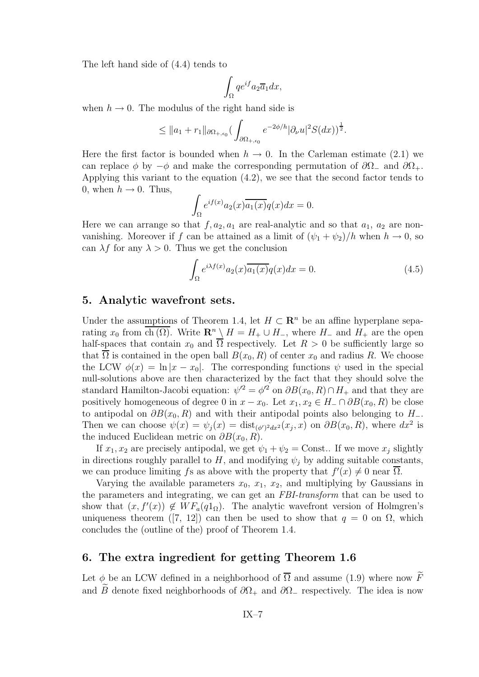The left hand side of (4.4) tends to

$$
\int_{\Omega} q e^{if} a_2 \overline{a}_1 dx,
$$

when  $h \to 0$ . The modulus of the right hand side is

$$
\leq ||a_1 + r_1||_{\partial \Omega_{+, \epsilon_0}} \left( \int_{\partial \Omega_{+, \epsilon_0}} e^{-2\phi/h} |\partial_\nu u|^2 S(dx) \right)^{\frac{1}{2}}.
$$

Here the first factor is bounded when  $h \to 0$ . In the Carleman estimate (2.1) we can replace  $\phi$  by  $-\phi$  and make the corresponding permutation of  $\partial\Omega_-\$  and  $\partial\Omega_+$ . Applying this variant to the equation (4.2), we see that the second factor tends to 0, when  $h \to 0$ . Thus,

$$
\int_{\Omega} e^{if(x)} a_2(x) \overline{a_1(x)} q(x) dx = 0.
$$

Here we can arrange so that  $f, a_2, a_1$  are real-analytic and so that  $a_1, a_2$  are nonvanishing. Moreover if f can be attained as a limit of  $(\psi_1 + \psi_2)/h$  when  $h \to 0$ , so can  $\lambda f$  for any  $\lambda > 0$ . Thus we get the conclusion

$$
\int_{\Omega} e^{i\lambda f(x)} a_2(x) \overline{a_1(x)} q(x) dx = 0.
$$
\n(4.5)

#### 5. Analytic wavefront sets.

Under the assumptions of Theorem 1.4, let  $H \subset \mathbb{R}^n$  be an affine hyperplane separating  $x_0$  from  $\overline{ch(\Omega)}$ . Write  $\mathbb{R}^n \setminus H = H_+ \cup H_-$ , where  $H_-$  and  $H_+$  are the open half-spaces that contain  $x_0$  and  $\overline{\Omega}$  respectively. Let  $R > 0$  be sufficiently large so that  $\overline{\Omega}$  is contained in the open ball  $B(x_0, R)$  of center  $x_0$  and radius R. We choose the LCW  $\phi(x) = \ln|x - x_0|$ . The corresponding functions  $\psi$  used in the special null-solutions above are then characterized by the fact that they should solve the standard Hamilton-Jacobi equation:  $\psi'^2 = \phi'^2$  on  $\partial B(x_0, R) \cap H_+$  and that they are positively homogeneous of degree 0 in  $x - x_0$ . Let  $x_1, x_2 \in H_-\cap \partial B(x_0, R)$  be close to antipodal on  $\partial B(x_0, R)$  and with their antipodal points also belonging to  $H_-\mathcal{A}$ . Then we can choose  $\psi(x) = \psi_j(x) = \text{dist}_{(\phi')^2 dx^2}(x_j, x)$  on  $\partial B(x_0, R)$ , where  $dx^2$  is the induced Euclidean metric on  $\partial B(x_0, R)$ .

If  $x_1, x_2$  are precisely antipodal, we get  $\psi_1 + \psi_2 = \text{Const.}$  If we move  $x_i$  slightly in directions roughly parallel to  $H$ , and modifying  $\psi_j$  by adding suitable constants, we can produce limiting fs as above with the property that  $f'(x) \neq 0$  near  $\Omega$ .

Varying the available parameters  $x_0, x_1, x_2$ , and multiplying by Gaussians in the parameters and integrating, we can get an FBI-transform that can be used to show that  $(x, f'(x)) \notin WF_a(q1_\Omega)$ . The analytic wavefront version of Holmgren's uniqueness theorem ([7, 12]) can then be used to show that  $q = 0$  on  $\Omega$ , which concludes the (outline of the) proof of Theorem 1.4.

#### 6. The extra ingredient for getting Theorem 1.6

Let  $\phi$  be an LCW defined in a neighborhood of  $\overline{\Omega}$  and assume (1.9) where now  $\widetilde{F}$ and B denote fixed neighborhoods of  $\partial\Omega_+$  and  $\partial\Omega_-$  respectively. The idea is now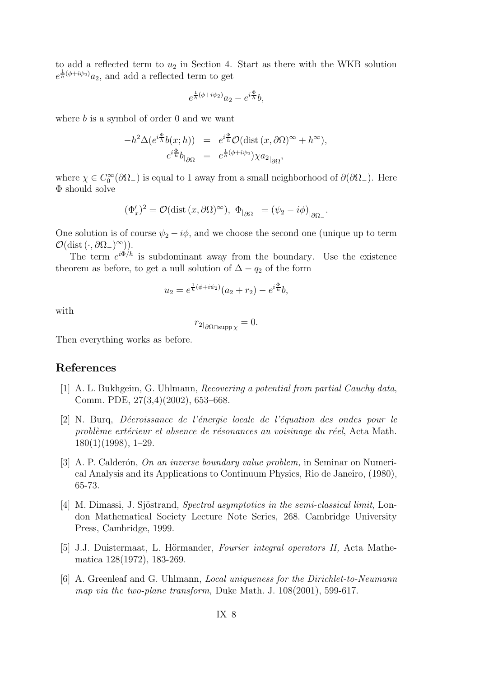to add a reflected term to  $u_2$  in Section 4. Start as there with the WKB solution  $e^{\frac{1}{h}(\phi + i\psi_2)}$ a<sub>2</sub>, and add a reflected term to get

$$
e^{\frac{1}{h}(\phi+i\psi_2)}a_2 - e^{i\frac{\Phi}{h}}b,
$$

where  $b$  is a symbol of order 0 and we want

$$
-h^2 \Delta(e^{i\frac{\Phi}{h}}b(x; h)) = e^{i\frac{\Phi}{h}} \mathcal{O}(\text{dist}(x, \partial \Omega)^\infty + h^\infty),
$$
  

$$
e^{i\frac{\Phi}{h}} b_{|\partial \Omega} = e^{\frac{1}{h}(\phi + i\psi_2)} \chi a_{2|\partial \Omega},
$$

where  $\chi \in C_0^{\infty}(\partial \Omega)$  is equal to 1 away from a small neighborhood of  $\partial(\partial \Omega)$ . Here Φ should solve

$$
(\Phi'_x)^2 = \mathcal{O}(\text{dist}\,(x,\partial\Omega)^\infty), \ \Phi_{|\partial\Omega_-} = (\psi_2 - i\phi)_{|\partial\Omega_-}.
$$

One solution is of course  $\psi_2 - i\phi$ , and we choose the second one (unique up to term  $\mathcal{O}(\text{dist}\left(\cdot,\partial\Omega_{-}\right)^{\infty}).$ 

The term  $e^{i\Phi/h}$  is subdominant away from the boundary. Use the existence theorem as before, to get a null solution of  $\Delta - q_2$  of the form

$$
u_2 = e^{\frac{1}{h}(\phi + i\psi_2)}(a_2 + r_2) - e^{i\frac{\Phi}{h}}b,
$$

with

$$
r_{2|_{\partial\Omega\cap\mathrm{supp}\,\chi}}=0.
$$

Then everything works as before.

#### References

- [1] A. L. Bukhgeim, G. Uhlmann, Recovering a potential from partial Cauchy data, Comm. PDE, 27(3,4)(2002), 653–668.
- $[2]$  N. Burq, Décroissance de l'énergie locale de l'équation des ondes pour le problème extérieur et absence de résonances au voisinage du réel, Acta Math. 180(1)(1998), 1–29.
- [3] A. P. Calderón, On an inverse boundary value problem, in Seminar on Numerical Analysis and its Applications to Continuum Physics, Rio de Janeiro, (1980), 65-73.
- [4] M. Dimassi, J. Sjöstrand, Spectral asymptotics in the semi-classical limit, London Mathematical Society Lecture Note Series, 268. Cambridge University Press, Cambridge, 1999.
- $[5]$  J.J. Duistermaat, L. Hörmander, *Fourier integral operators II*, Acta Mathematica 128(1972), 183-269.
- [6] A. Greenleaf and G. Uhlmann, Local uniqueness for the Dirichlet-to-Neumann map via the two-plane transform, Duke Math. J. 108(2001), 599-617.